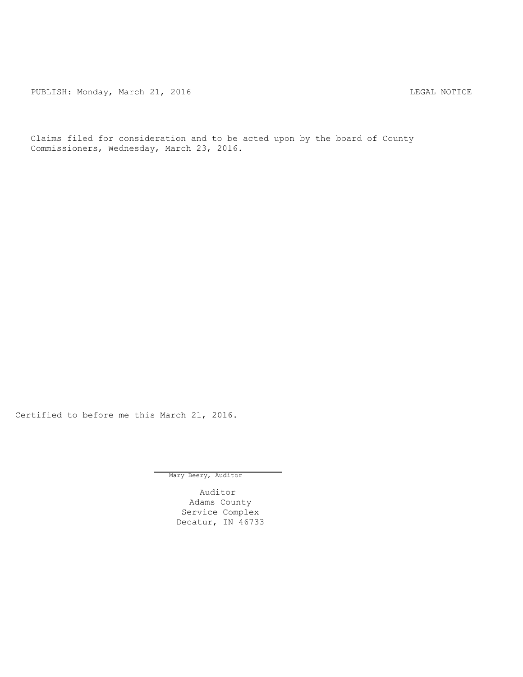PUBLISH: Monday, March 21, 2016 CHANGER STATES AND REGAL NOTICE

Claims filed for consideration and to be acted upon by the board of County Commissioners, Wednesday, March 23, 2016.

Certified to before me this March 21, 2016.

Mary Beery, Auditor

Auditor Adams County Service Complex Decatur, IN 46733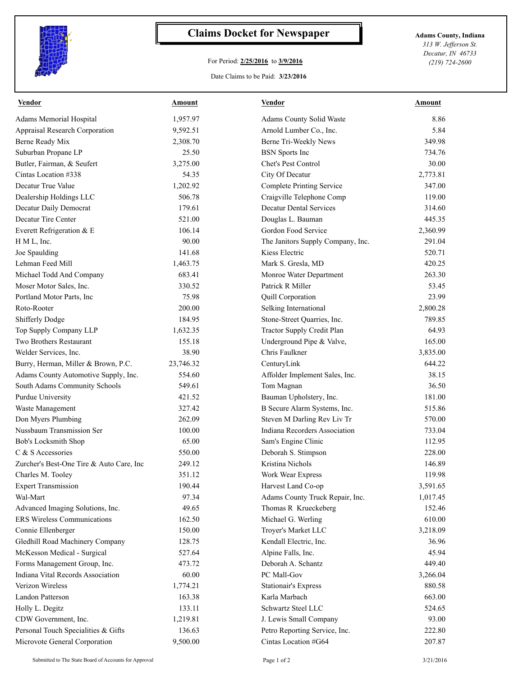

## **Claims Docket for Newspaper Adams County, Indiana**

## For Period: **2/25/2016** to **3/9/2016**

*313 W. Jefferson St. Decatur, IN 46733 (219) 724-2600*

Date Claims to be Paid: **3/23/2016**

| <b>Vendor</b>                            | Amount    | <b>Vendor</b>                     | Amount   |
|------------------------------------------|-----------|-----------------------------------|----------|
| Adams Memorial Hospital                  | 1,957.97  | Adams County Solid Waste          | 8.86     |
| <b>Appraisal Research Corporation</b>    | 9,592.51  | Arnold Lumber Co., Inc.           | 5.84     |
| Berne Ready Mix                          | 2,308.70  | Berne Tri-Weekly News             | 349.98   |
| Suburban Propane LP                      | 25.50     | <b>BSN</b> Sports Inc             | 734.76   |
| Butler, Fairman, & Seufert               | 3,275.00  | Chet's Pest Control               | 30.00    |
| Cintas Location #338                     | 54.35     | City Of Decatur                   | 2,773.81 |
| Decatur True Value                       | 1,202.92  | <b>Complete Printing Service</b>  | 347.00   |
| Dealership Holdings LLC                  | 506.78    | Craigville Telephone Comp         | 119.00   |
| Decatur Daily Democrat                   | 179.61    | <b>Decatur Dental Services</b>    | 314.60   |
| Decatur Tire Center                      | 521.00    | Douglas L. Bauman                 | 445.35   |
| Everett Refrigeration & E                | 106.14    | Gordon Food Service               | 2,360.99 |
| H M L, Inc.                              | 90.00     | The Janitors Supply Company, Inc. | 291.04   |
| Joe Spaulding                            | 141.68    | Kiess Electric                    | 520.71   |
| Lehman Feed Mill                         | 1,463.75  | Mark S. Gresla, MD                | 420.25   |
| Michael Todd And Company                 | 683.41    | Monroe Water Department           | 263.30   |
| Moser Motor Sales, Inc.                  | 330.52    | Patrick R Miller                  | 53.45    |
| Portland Motor Parts, Inc.               | 75.98     | Quill Corporation                 | 23.99    |
| Roto-Rooter                              | 200.00    | Selking International             | 2,800.28 |
| <b>Shifferly Dodge</b>                   | 184.95    | Stone-Street Quarries, Inc.       | 789.85   |
| Top Supply Company LLP                   | 1,632.35  | <b>Tractor Supply Credit Plan</b> | 64.93    |
| Two Brothers Restaurant                  | 155.18    | Underground Pipe & Valve,         | 165.00   |
| Welder Services, Inc.                    | 38.90     | Chris Faulkner                    | 3,835.00 |
| Burry, Herman, Miller & Brown, P.C.      | 23,746.32 | CenturyLink                       | 644.22   |
| Adams County Automotive Supply, Inc.     | 554.60    | Affolder Implement Sales, Inc.    | 38.15    |
| South Adams Community Schools            | 549.61    | Tom Magnan                        | 36.50    |
| Purdue University                        | 421.52    | Bauman Upholstery, Inc.           | 181.00   |
| Waste Management                         | 327.42    | B Secure Alarm Systems, Inc.      | 515.86   |
| Don Myers Plumbing                       | 262.09    | Steven M Darling Rev Liv Tr       | 570.00   |
| Nussbaum Transmission Ser                | 100.00    | Indiana Recorders Association     | 733.04   |
| Bob's Locksmith Shop                     | 65.00     | Sam's Engine Clinic               | 112.95   |
| C & S Accessories                        | 550.00    | Deborah S. Stimpson               | 228.00   |
| Zurcher's Best-One Tire & Auto Care, Inc | 249.12    | Kristina Nichols                  | 146.89   |
| Charles M. Tooley                        | 351.12    | Work Wear Express                 | 119.98   |
| <b>Expert Transmission</b>               | 190.44    | Harvest Land Co-op                | 3,591.65 |
| Wal-Mart                                 | 97.34     | Adams County Truck Repair, Inc.   | 1,017.45 |
| Advanced Imaging Solutions, Inc.         | 49.65     | Thomas R Krueckeberg              | 152.46   |
| <b>ERS Wireless Communications</b>       | 162.50    | Michael G. Werling                | 610.00   |
| Connie Ellenberger                       | 150.00    | Troyer's Market LLC               | 3,218.09 |
| Gledhill Road Machinery Company          | 128.75    | Kendall Electric, Inc.            | 36.96    |
| McKesson Medical - Surgical              | 527.64    | Alpine Falls, Inc.                | 45.94    |
| Forms Management Group, Inc.             | 473.72    | Deborah A. Schantz                | 449.40   |
| Indiana Vital Records Association        | 60.00     | PC Mall-Gov                       | 3,266.04 |
| Verizon Wireless                         | 1,774.21  | <b>Stationair's Express</b>       | 880.58   |
| Landon Patterson                         | 163.38    | Karla Marbach                     | 663.00   |
| Holly L. Degitz                          | 133.11    | Schwartz Steel LLC                | 524.65   |
| CDW Government, Inc.                     | 1,219.81  | J. Lewis Small Company            | 93.00    |
| Personal Touch Specialities & Gifts      | 136.63    | Petro Reporting Service, Inc.     | 222.80   |
| Microvote General Corporation            | 9,500.00  | Cintas Location #G64              | 207.87   |